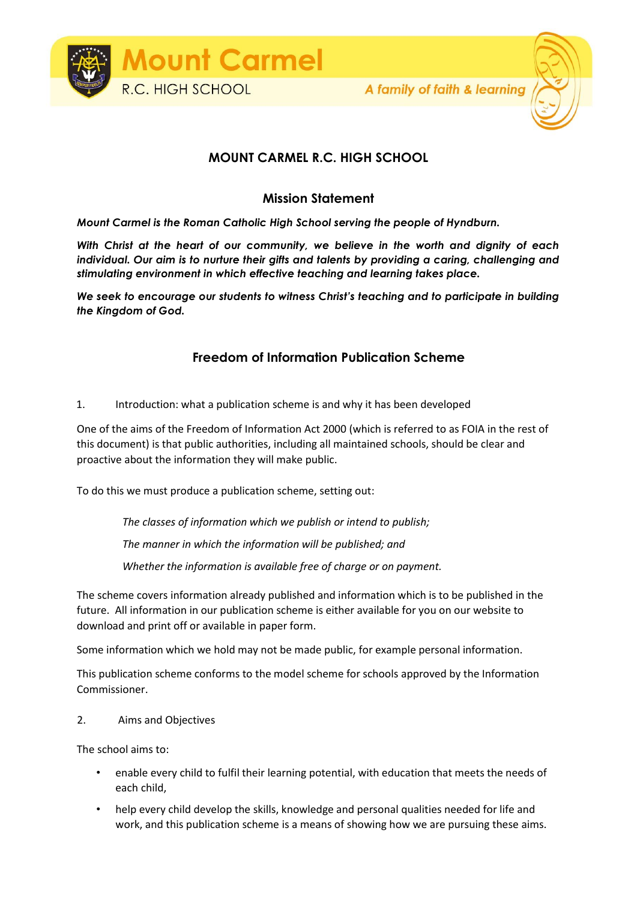

## **MOUNT CARMEL R.C. HIGH SCHOOL**

## **Mission Statement**

*Mount Carmel is the Roman Catholic High School serving the people of Hyndburn.*

*With Christ at the heart of our community, we believe in the worth and dignity of each individual. Our aim is to nurture their gifts and talents by providing a caring, challenging and stimulating environment in which effective teaching and learning takes place.*

*We seek to encourage our students to witness Christ's teaching and to participate in building the Kingdom of God.*

## **Freedom of Information Publication Scheme**

1. Introduction: what a publication scheme is and why it has been developed

One of the aims of the Freedom of Information Act 2000 (which is referred to as FOIA in the rest of this document) is that public authorities, including all maintained schools, should be clear and proactive about the information they will make public.

To do this we must produce a publication scheme, setting out:

*The classes of information which we publish or intend to publish; The manner in which the information will be published; and Whether the information is available free of charge or on payment.* 

The scheme covers information already published and information which is to be published in the future. All information in our publication scheme is either available for you on our website to download and print off or available in paper form.

Some information which we hold may not be made public, for example personal information.

This publication scheme conforms to the model scheme for schools approved by the Information Commissioner.

2. Aims and Objectives

The school aims to:

- enable every child to fulfil their learning potential, with education that meets the needs of each child,
- help every child develop the skills, knowledge and personal qualities needed for life and work, and this publication scheme is a means of showing how we are pursuing these aims.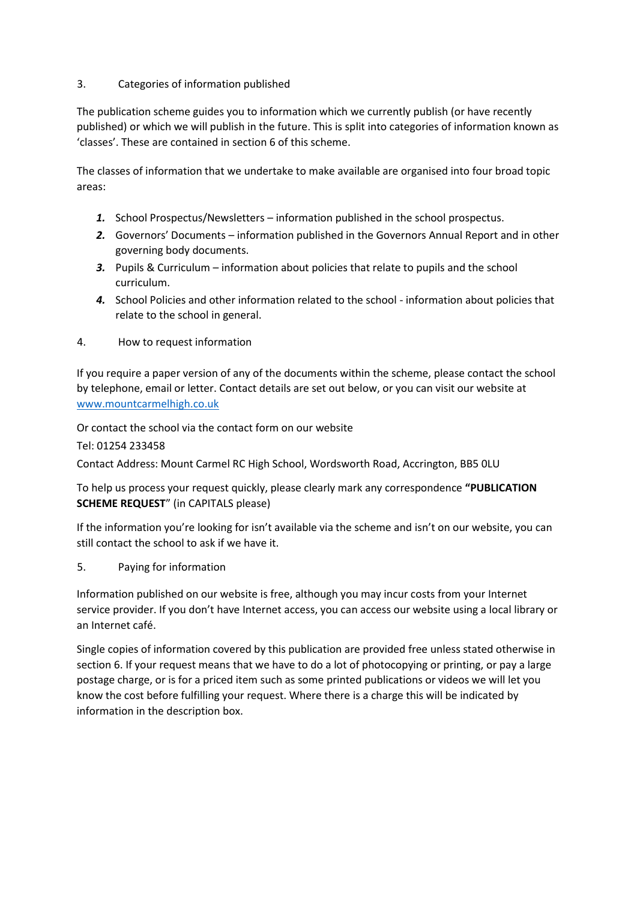## 3. Categories of information published

The publication scheme guides you to information which we currently publish (or have recently published) or which we will publish in the future. This is split into categories of information known as 'classes'. These are contained in section 6 of this scheme.

The classes of information that we undertake to make available are organised into four broad topic areas:

- *1.* School Prospectus/Newsletters information published in the school prospectus.
- *2.* Governors' Documents information published in the Governors Annual Report and in other governing body documents.
- *3.* Pupils & Curriculum information about policies that relate to pupils and the school curriculum.
- *4.* School Policies and other information related to the school information about policies that relate to the school in general.
- 4. How to request information

If you require a paper version of any of the documents within the scheme, please contact the school by telephone, email or letter. Contact details are set out below, or you can visit our website at [www.mountcarmelhigh.co.uk](file://///mc-fsvr/home/staff/bgeorgy/documents/Brendan%20Georgy/Policies/BGY/www.mountcarmelhigh.co.uk)

Or contact the school via the contact form on our website

Tel: 01254 233458

Contact Address: Mount Carmel RC High School, Wordsworth Road, Accrington, BB5 0LU

To help us process your request quickly, please clearly mark any correspondence **"PUBLICATION SCHEME REQUEST**" (in CAPITALS please)

If the information you're looking for isn't available via the scheme and isn't on our website, you can still contact the school to ask if we have it.

5. Paying for information

Information published on our website is free, although you may incur costs from your Internet service provider. If you don't have Internet access, you can access our website using a local library or an Internet café.

Single copies of information covered by this publication are provided free unless stated otherwise in section 6. If your request means that we have to do a lot of photocopying or printing, or pay a large postage charge, or is for a priced item such as some printed publications or videos we will let you know the cost before fulfilling your request. Where there is a charge this will be indicated by information in the description box.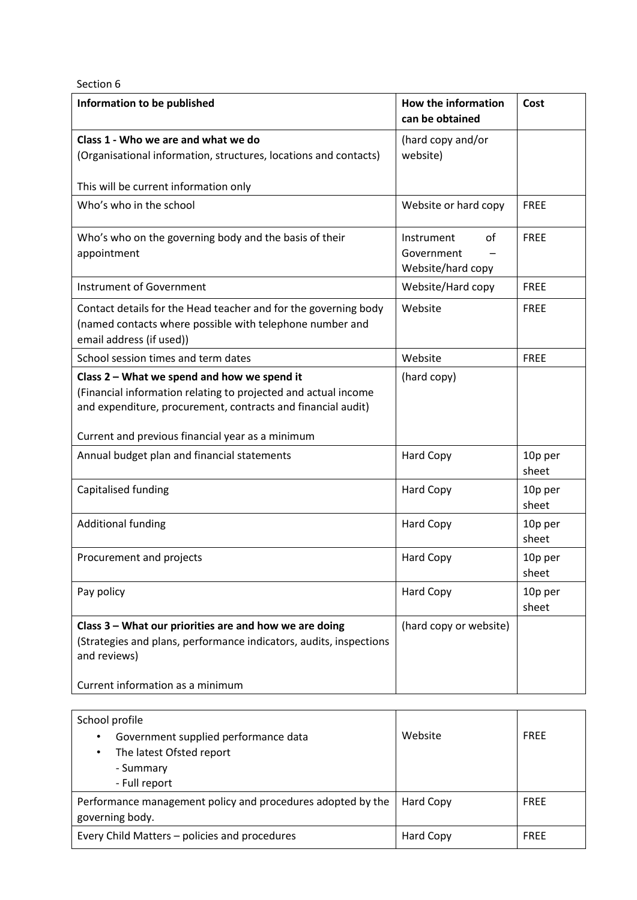| Information to be published                                                                                                                                                      | How the information<br>can be obtained              | Cost             |
|----------------------------------------------------------------------------------------------------------------------------------------------------------------------------------|-----------------------------------------------------|------------------|
| Class 1 - Who we are and what we do<br>(Organisational information, structures, locations and contacts)                                                                          | (hard copy and/or<br>website)                       |                  |
| This will be current information only                                                                                                                                            |                                                     |                  |
| Who's who in the school                                                                                                                                                          | Website or hard copy                                | <b>FREE</b>      |
| Who's who on the governing body and the basis of their<br>appointment                                                                                                            | of<br>Instrument<br>Government<br>Website/hard copy | <b>FREE</b>      |
| Instrument of Government                                                                                                                                                         | Website/Hard copy                                   | <b>FREE</b>      |
| Contact details for the Head teacher and for the governing body<br>(named contacts where possible with telephone number and<br>email address (if used))                          | Website                                             | <b>FREE</b>      |
| School session times and term dates                                                                                                                                              | Website                                             | <b>FREE</b>      |
| Class 2 - What we spend and how we spend it<br>(Financial information relating to projected and actual income<br>and expenditure, procurement, contracts and financial audit)    | (hard copy)                                         |                  |
| Current and previous financial year as a minimum                                                                                                                                 |                                                     |                  |
| Annual budget plan and financial statements                                                                                                                                      | Hard Copy                                           | 10p per<br>sheet |
| Capitalised funding                                                                                                                                                              | Hard Copy                                           | 10p per<br>sheet |
| <b>Additional funding</b>                                                                                                                                                        | <b>Hard Copy</b>                                    | 10p per<br>sheet |
| Procurement and projects                                                                                                                                                         | <b>Hard Copy</b>                                    | 10p per<br>sheet |
| Pay policy                                                                                                                                                                       | <b>Hard Copy</b>                                    | 10p per<br>sheet |
| Class 3 - What our priorities are and how we are doing<br>(Strategies and plans, performance indicators, audits, inspections<br>and reviews)<br>Current information as a minimum | (hard copy or website)                              |                  |
|                                                                                                                                                                                  |                                                     |                  |

Section 6

| School profile                                                                 |           |             |
|--------------------------------------------------------------------------------|-----------|-------------|
| Government supplied performance data<br>٠                                      | Website   | <b>FREE</b> |
| The latest Ofsted report<br>٠                                                  |           |             |
| - Summary                                                                      |           |             |
| - Full report                                                                  |           |             |
| Performance management policy and procedures adopted by the<br>governing body. | Hard Copy | <b>FREE</b> |
| Every Child Matters - policies and procedures                                  | Hard Copy | <b>FREE</b> |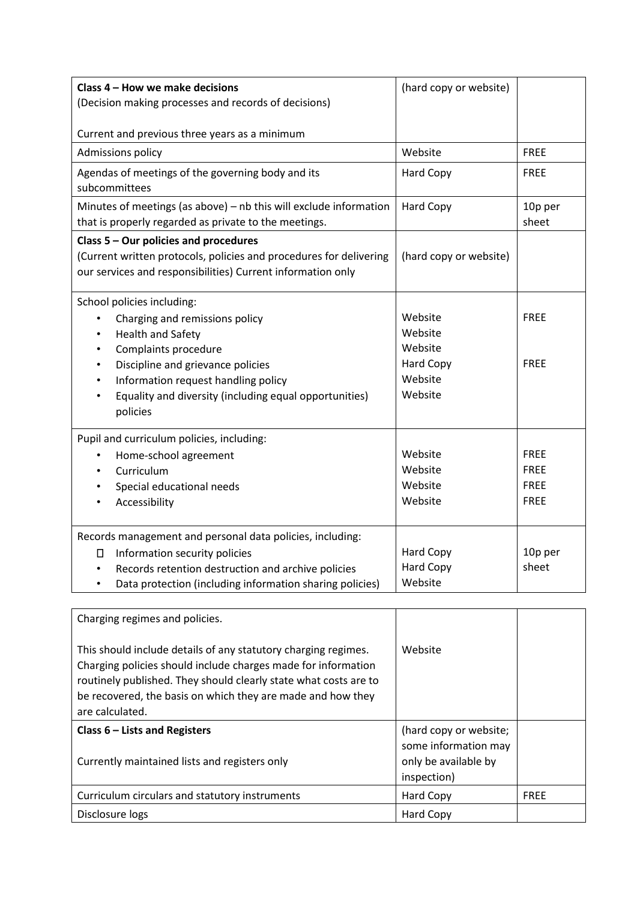| Class 4 - How we make decisions<br>(Decision making processes and records of decisions)                                                                                                                                                                                                                         | (hard copy or website)                                           |                                                          |
|-----------------------------------------------------------------------------------------------------------------------------------------------------------------------------------------------------------------------------------------------------------------------------------------------------------------|------------------------------------------------------------------|----------------------------------------------------------|
| Current and previous three years as a minimum                                                                                                                                                                                                                                                                   |                                                                  |                                                          |
| <b>Admissions policy</b>                                                                                                                                                                                                                                                                                        | Website                                                          | <b>FREE</b>                                              |
| Agendas of meetings of the governing body and its<br>subcommittees                                                                                                                                                                                                                                              | <b>Hard Copy</b>                                                 | <b>FREE</b>                                              |
| Minutes of meetings (as above) - nb this will exclude information<br>that is properly regarded as private to the meetings.                                                                                                                                                                                      | <b>Hard Copy</b>                                                 | 10p per<br>sheet                                         |
| Class 5 - Our policies and procedures<br>(Current written protocols, policies and procedures for delivering<br>our services and responsibilities) Current information only                                                                                                                                      | (hard copy or website)                                           |                                                          |
| School policies including:<br>Charging and remissions policy<br>Health and Safety<br>Complaints procedure<br>$\bullet$<br>Discipline and grievance policies<br>$\bullet$<br>Information request handling policy<br>$\bullet$<br>Equality and diversity (including equal opportunities)<br>$\bullet$<br>policies | Website<br>Website<br>Website<br>Hard Copy<br>Website<br>Website | <b>FREE</b><br><b>FREE</b>                               |
| Pupil and curriculum policies, including:<br>Home-school agreement<br>Curriculum<br>Special educational needs<br>Accessibility                                                                                                                                                                                  | Website<br>Website<br>Website<br>Website                         | <b>FREE</b><br><b>FREE</b><br><b>FREE</b><br><b>FREE</b> |
| Records management and personal data policies, including:<br>Information security policies<br>0<br>Records retention destruction and archive policies<br>$\bullet$<br>Data protection (including information sharing policies)<br>$\bullet$                                                                     | <b>Hard Copy</b><br><b>Hard Copy</b><br>Website                  | 10p per<br>sheet                                         |

| Charging regimes and policies.                                                                                                                                                                                                                                                        |                                                             |             |
|---------------------------------------------------------------------------------------------------------------------------------------------------------------------------------------------------------------------------------------------------------------------------------------|-------------------------------------------------------------|-------------|
| This should include details of any statutory charging regimes.<br>Charging policies should include charges made for information<br>routinely published. They should clearly state what costs are to<br>be recovered, the basis on which they are made and how they<br>are calculated. | Website                                                     |             |
| Class $6$ – Lists and Registers                                                                                                                                                                                                                                                       | (hard copy or website;                                      |             |
| Currently maintained lists and registers only                                                                                                                                                                                                                                         | some information may<br>only be available by<br>inspection) |             |
| Curriculum circulars and statutory instruments                                                                                                                                                                                                                                        | Hard Copy                                                   | <b>FREE</b> |
| Disclosure logs                                                                                                                                                                                                                                                                       | Hard Copy                                                   |             |